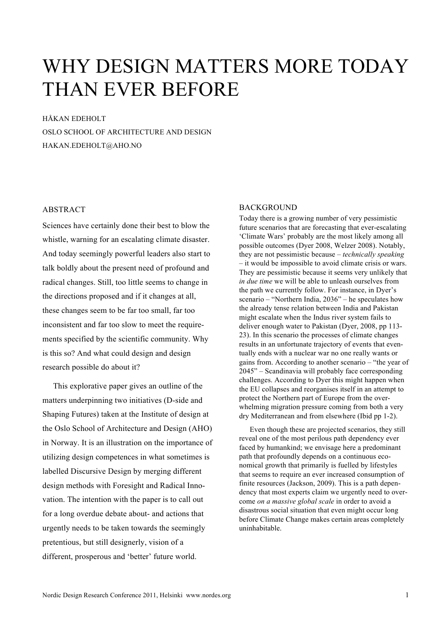# WHY DESIGN MATTERS MORE TODAY THAN EVER BEFORE

HÅKAN EDEHOLT OSLO SCHOOL OF ARCHITECTURE AND DESIGN HAKAN.EDEHOLT@AHO.NO

## ABSTRACT

Sciences have certainly done their best to blow the whistle, warning for an escalating climate disaster. And today seemingly powerful leaders also start to talk boldly about the present need of profound and radical changes. Still, too little seems to change in the directions proposed and if it changes at all, these changes seem to be far too small, far too inconsistent and far too slow to meet the requirements specified by the scientific community. Why is this so? And what could design and design research possible do about it?

This explorative paper gives an outline of the matters underpinning two initiatives (D-side and Shaping Futures) taken at the Institute of design at the Oslo School of Architecture and Design (AHO) in Norway. It is an illustration on the importance of utilizing design competences in what sometimes is labelled Discursive Design by merging different design methods with Foresight and Radical Innovation. The intention with the paper is to call out for a long overdue debate about- and actions that urgently needs to be taken towards the seemingly pretentious, but still designerly, vision of a different, prosperous and 'better' future world.

## **BACKGROUND**

Today there is a growing number of very pessimistic future scenarios that are forecasting that ever-escalating 'Climate Wars' probably are the most likely among all possible outcomes (Dyer 2008, Welzer 2008). Notably, they are not pessimistic because – *technically speaking* – it would be impossible to avoid climate crisis or wars. They are pessimistic because it seems very unlikely that *in due time* we will be able to unleash ourselves from the path we currently follow. For instance, in Dyer's scenario – "Northern India, 2036" – he speculates how the already tense relation between India and Pakistan might escalate when the Indus river system fails to deliver enough water to Pakistan (Dyer, 2008, pp 113- 23). In this scenario the processes of climate changes results in an unfortunate trajectory of events that eventually ends with a nuclear war no one really wants or gains from. According to another scenario – "the year of 2045" – Scandinavia will probably face corresponding challenges. According to Dyer this might happen when the EU collapses and reorganises itself in an attempt to protect the Northern part of Europe from the overwhelming migration pressure coming from both a very dry Mediterranean and from elsewhere (Ibid pp 1-2).

Even though these are projected scenarios, they still reveal one of the most perilous path dependency ever faced by humankind; we envisage here a predominant path that profoundly depends on a continuous economical growth that primarily is fuelled by lifestyles that seems to require an ever increased consumption of finite resources (Jackson, 2009). This is a path dependency that most experts claim we urgently need to overcome *on a massive global scale* in order to avoid a disastrous social situation that even might occur long before Climate Change makes certain areas completely uninhabitable.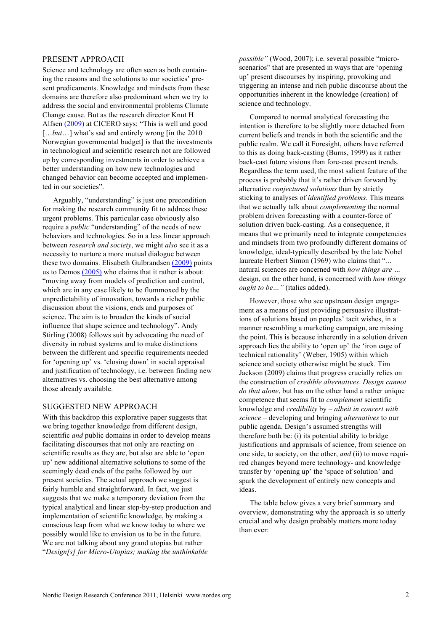#### PRESENT APPROACH

Science and technology are often seen as both containing the reasons and the solutions to our societies' present predicaments. Knowledge and mindsets from these domains are therefore also predominant when we try to address the social and environmental problems Climate Change cause. But as the research director Knut H Alfsen (2009) at CICERO says; "This is well and good [...*but*...] what's sad and entirely wrong [in the 2010] Norwegian governmental budget] is that the investments in technological and scientific research not are followed up by corresponding investments in order to achieve a better understanding on how new technologies and changed behavior can become accepted and implemented in our societies".

Arguably, "understanding" is just one precondition for making the research community fit to address these urgent problems. This particular case obviously also require a *public* "understanding" of the needs of new behaviors and technologies. So in a less linear approach between *research and society*, we might *also* see it as a necessity to nurture a more mutual dialogue between these two domains. Elisabeth Gulbrandsen (2009) points us to Demos (2005) who claims that it rather is about: "moving away from models of prediction and control, which are in any case likely to be flummoxed by the unpredictability of innovation, towards a richer public discussion about the visions, ends and purposes of science. The aim is to broaden the kinds of social influence that shape science and technology". Andy Stirling (2008) follows suit by advocating the need of diversity in robust systems and to make distinctions between the different and specific requirements needed for 'opening up' vs. 'closing down' in social appraisal and justification of technology, i.e. between finding new alternatives vs. choosing the best alternative among those already available.

## SUGGESTED NEW APPROACH

With this backdrop this explorative paper suggests that we bring together knowledge from different design, scientific *and* public domains in order to develop means facilitating discourses that not only are reacting on scientific results as they are, but also are able to 'open up' new additional alternative solutions to some of the seemingly dead ends of the paths followed by our present societies. The actual approach we suggest is fairly humble and straightforward. In fact, we just suggests that we make a temporary deviation from the typical analytical and linear step-by-step production and implementation of scientific knowledge, by making a conscious leap from what we know today to where we possibly would like to envision us to be in the future. We are not talking about any grand utopias but rather "*Design[s] for Micro-Utopias; making the unthinkable* 

*possible"* (Wood, 2007); i.e. several possible "microscenarios" that are presented in ways that are 'opening up' present discourses by inspiring, provoking and triggering an intense and rich public discourse about the opportunities inherent in the knowledge (creation) of science and technology.

Compared to normal analytical forecasting the intention is therefore to be slightly more detached from current beliefs and trends in both the scientific and the public realm. We call it Foresight, others have referred to this as doing back-casting (Burns, 1999) as it rather back-cast future visions than fore-cast present trends. Regardless the term used, the most salient feature of the process is probably that it's rather driven forward by alternative *conjectured solutions* than by strictly sticking to analyses of *identified problems*. This means that we actually talk about *complementing* the normal problem driven forecasting with a counter-force of solution driven back-casting. As a consequence, it means that we primarily need to integrate competencies and mindsets from two profoundly different domains of knowledge, ideal-typically described by the late Nobel laureate Herbert Simon (1969) who claims that "*…*  natural sciences are concerned with *how things are …*  design, on the other hand, is concerned with *how things ought to be…"* (italics added).

However, those who see upstream design engagement as a means of just providing persuasive illustrations of solutions based on peoples' tacit wishes, in a manner resembling a marketing campaign, are missing the point. This is because inherently in a solution driven approach lies the ability to 'open up' the 'iron cage of technical rationality' (Weber, 1905) within which science and society otherwise might be stuck. Tim Jackson (2009) claims that progress crucially relies on the construction of *credible alternatives*. *Design cannot do that alone*, but has on the other hand a rather unique competence that seems fit to *complement* scientific knowledge and *credibility* by – *albeit in concert with science* – developing and bringing *alternatives* to our public agenda. Design's assumed strengths will therefore both be: (i) its potential ability to bridge justifications and appraisals of science, from science on one side, to society, on the other, *and* (ii) to move required changes beyond mere technology- and knowledge transfer by 'opening up' the 'space of solution' and spark the development of entirely new concepts and ideas.

The table below gives a very brief summary and overview, demonstrating why the approach is so utterly crucial and why design probably matters more today than ever: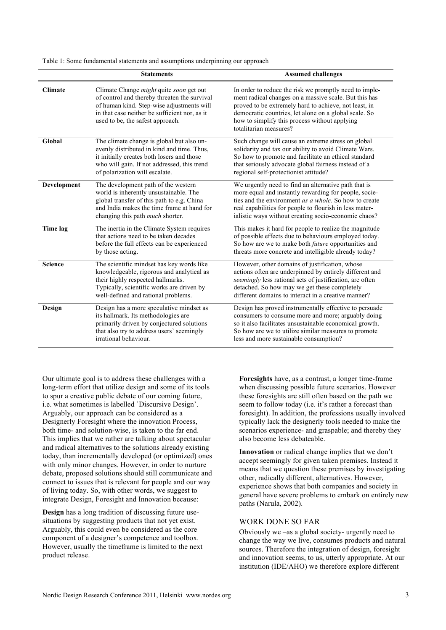Table 1: Some fundamental statements and assumptions underpinning our approach

|                | <b>Statements</b>                                                                                                                                                                                                         | <b>Assumed challenges</b>                                                                                                                                                                                                                                                                                    |
|----------------|---------------------------------------------------------------------------------------------------------------------------------------------------------------------------------------------------------------------------|--------------------------------------------------------------------------------------------------------------------------------------------------------------------------------------------------------------------------------------------------------------------------------------------------------------|
| <b>Climate</b> | Climate Change might quite soon get out<br>of control and thereby threaten the survival<br>of human kind. Step-wise adjustments will<br>in that case neither be sufficient nor, as it<br>used to be, the safest approach. | In order to reduce the risk we promptly need to imple-<br>ment radical changes on a massive scale. But this has<br>proved to be extremely hard to achieve, not least, in<br>democratic countries, let alone on a global scale. So<br>how to simplify this process without applying<br>totalitarian measures? |
| Global         | The climate change is global but also un-<br>evenly distributed in kind and time. Thus,<br>it initially creates both losers and those<br>who will gain. If not addressed, this trend<br>of polarization will escalate.    | Such change will cause an extreme stress on global<br>solidarity and tax our ability to avoid Climate Wars.<br>So how to promote and facilitate an ethical standard<br>that seriously advocate global fairness instead of a<br>regional self-protectionist attitude?                                         |
| Development    | The development path of the western<br>world is inherently unsustainable. The<br>global transfer of this path to e.g. China<br>and India makes the time frame at hand for<br>changing this path much shorter.             | We urgently need to find an alternative path that is<br>more equal and instantly rewarding for people, socie-<br>ties and the environment <i>as a whole</i> . So how to create<br>real capabilities for people to flourish in less mater-<br>ialistic ways without creating socio-economic chaos?            |
| Time lag       | The inertia in the Climate System requires<br>that actions need to be taken decades<br>before the full effects can be experienced<br>by those acting.                                                                     | This makes it hard for people to realize the magnitude<br>of possible effects due to behaviours employed today.<br>So how are we to make both <i>future</i> opportunities and<br>threats more concrete and intelligible already today?                                                                       |
| <b>Science</b> | The scientific mindset has key words like<br>knowledgeable, rigorous and analytical as<br>their highly respected hallmarks.<br>Typically, scientific works are driven by<br>well-defined and rational problems.           | However, other domains of justification, whose<br>actions often are underpinned by entirely different and<br>seemingly less rational sets of justification, are often<br>detached. So how may we get these completely<br>different domains to interact in a creative manner?                                 |
| Design         | Design has a more speculative mindset as<br>its hallmark. Its methodologies are<br>primarily driven by conjectured solutions<br>that also try to address users' seemingly<br>irrational behaviour.                        | Design has proved instrumentally effective to persuade<br>consumers to consume more and more; arguably doing<br>so it also facilitates unsustainable economical growth.<br>So how are we to utilize similar measures to promote<br>less and more sustainable consumption?                                    |

Our ultimate goal is to address these challenges with a long-term effort that utilize design and some of its tools to spur a creative public debate of our coming future, i.e. what sometimes is labelled `Discursive Design'. Arguably, our approach can be considered as a Designerly Foresight where the innovation Process, both time- and solution-wise, is taken to the far end. This implies that we rather are talking about spectacular and radical alternatives to the solutions already existing today, than incrementally developed (or optimized) ones with only minor changes. However, in order to nurture debate, proposed solutions should still communicate and connect to issues that is relevant for people and our way of living today. So, with other words, we suggest to integrate Design, Foresight and Innovation because:

**Design** has a long tradition of discussing future usesituations by suggesting products that not yet exist. Arguably, this could even be considered as the core component of a designer's competence and toolbox. However, usually the timeframe is limited to the next product release.

**Foresights** have, as a contrast, a longer time-frame when discussing possible future scenarios. However these foresights are still often based on the path we seem to follow today (i.e. it's rather a forecast than foresight). In addition, the professions usually involved typically lack the designerly tools needed to make the scenarios experience- and graspable; and thereby they also become less debateable.

**Innovation** or radical change implies that we don't accept seemingly for given taken premises. Instead it means that we question these premises by investigating other, radically different, alternatives. However, experience shows that both companies and society in general have severe problems to embark on entirely new paths (Narula, 2002).

## WORK DONE SO FAR

Obviously we –as a global society- urgently need to change the way we live, consumes products and natural sources. Therefore the integration of design, foresight and innovation seems, to us, utterly appropriate. At our institution (IDE/AHO) we therefore explore different